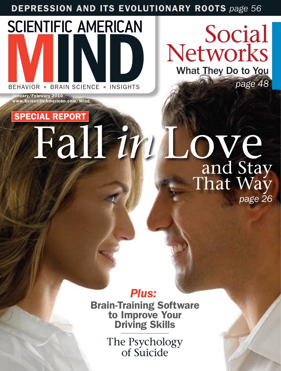A HIDDEN PLAGUE REVEALED: "MILD" BRAIN TRAUMA *page 50* DEPRESSION AND ITS EVOLUTIONARY ROOTS *page 56*

# **SUICIVIIIT<br>BEHAVIOR • BR<br>January/February 20: SCIENTIFIC AMERICAN** NICAIN

Social Networks What They Do to You *page 48*

BEHAVIOR • BRAIN SCIENCE • INSIGHTS

January/February 2010 www.ScientificAmerican.com/Mind

SPECIAL REPORT

# Fall *in* Love and Stay That Way

*page 26*

*Plus:*

Brain-Training Software to Improve Your Driving Skills

> The Psychology of Suicide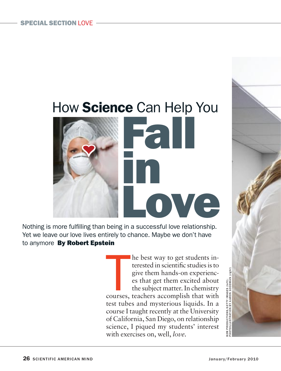# ♥ Fall in Love How **Science** Can Help You

Nothing is more fulfilling than being in a successful love relationship. Yet we leave our love lives entirely to chance. Maybe we don't have to anymore **By Robert Epstein** 

ES that get them excited about<br>the subject matter. In chemistry<br>courses, teachers accomplish that with<br>test tubes and mysterious liquids. In a<br>course I taught recently at the University<br>of California, San Diego, on relatio The best way to get students in-<br>terested in scientific studies is to<br>give them hands-on experienc-<br>es that get them excited about<br>the subject matter. In chemistry<br>courses, teachers accomplish that with he best way to get students interested in scientific studies is to give them hands-on experiences that get them excited about the subject matter. In chemistry test tubes and mysterious liquids. In a course I taught recently at the University of California, San Diego, on relationship science, I piqued my students' interest with exercises on, well, *love.*

photoillustration by AARON GOODMAN (*right*)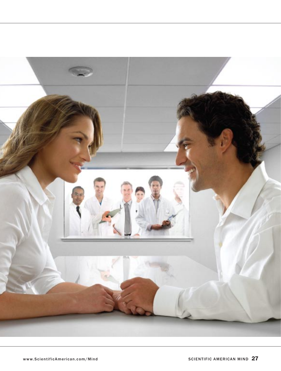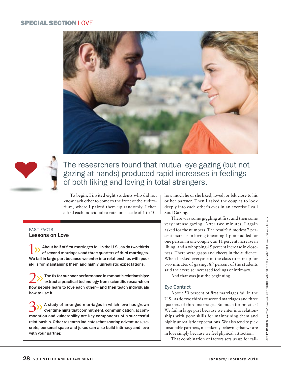# **SPECIAL SECTION I OVE**





The researchers found that mutual eye gazing (but not gazing at hands) produced rapid increases in feelings of both liking and loving in total strangers.

To begin, I invited eight students who did not know each other to come to the front of the auditorium, where I paired them up randomly. I then asked each individual to rate, on a scale of 1 to 10,

### FAST FACTS Lessons on Love

About half of first marriages fail in the U.S., as do two thirds of second marriages and three quarters of third marriages. We fail in large part because we enter into relationships with poor skills for maintaining them and highly unrealistic expectations.

The fix for our poor performance in romantic relationships: extract a practical technology from scientific research on how people learn to love each other—and then teach individuals how to use it.

A study of arranged marriages in which love has grown over time hints that commitment, communication, accommodation and vulnerability are key components of a successful relationship. Other research indicates that sharing adventures, secrets, personal space and jokes can also build intimacy and love with your partner.

how much he or she liked, loved, or felt close to his or her partner. Then I asked the couples to look deeply into each other's eyes in an exercise I call Soul Gazing.

There was some giggling at first and then some very intense gazing. After two minutes, I again asked for the numbers. The result? A modest 7 percent increase in loving (meaning 1 point added for one person in one couple), an 11 percent increase in liking, and a whopping 45 percent increase in closeness. There were gasps and cheers in the audience. When I asked everyone in the class to pair up for two minutes of gazing, 89 percent of the students said the exercise increased feelings of intimacy.

And that was just the beginning….

#### Eye Contact

About 50 percent of first marriages fail in the U.S., as do two thirds of second marriages and three quarters of third marriages. So much for practice! We fail in large part because we enter into relationships with poor skills for maintaining them and highly unrealistic expectations. We also tend to pick unsuitable partners, mistakenly believing that we are in love simply because we feel physical attraction.

That combination of factors sets us up for fail-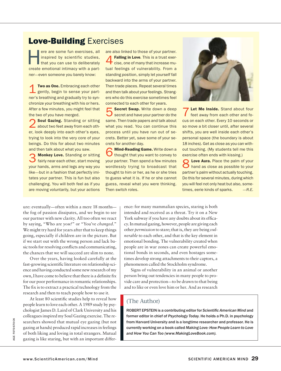# Love-Building Exercises

ere are some fun exercises, all<br>inspired by scientific studies,<br>that you can use to deliberately inspired by scientific studies, that you can use to deliberately create emotional intimacy with a partner*—*even someone you barely know:

Two as One. Embracing each other gently, begin to sense your partner's breathing and gradually try to synchronize your breathing with his or hers. After a few minutes, you might feel that the two of you have merged.

2 Soul Gazing. Standing or sitting<br>
2 about two feet away from each other, look deeply into each other's eyes, trying to look into the very core of your beings. Do this for about two minutes and then talk about what you saw.

**Monkey Love.** Standing or sitting fairly near each other, start moving your hands, arms and legs any way you like—but in a fashion that perfectly imitates your partner. This is fun but also challenging. You will both feel as if you are moving voluntarily, but your actions

ure: eventually—often within a mere 18 months the fog of passion dissipates, and we begin to see our partner with new clarity. All too often we react by saying, "Who are *you?*" or "You've *changed.*" We might try hard for years after that to keep things going, especially if children are in the picture. But if we start out with the wrong person and lack basic tools for resolving conflicts and communicating, the chances that we will succeed are slim to none.

Over the years, having looked carefully at the fast-growing scientific literature on relationship science and having conducted some new research of my own, I have come to believe that there is a definite fix for our poor performance in romantic relationships. The fix is to extract a practical technology from the research and then to teach people how to use it.

At least 80 scientific studies help to reveal how people learn to love each other. A 1989 study by psychologist James D. Laird of Clark University and his colleagues inspired my Soul Gazing exercise. The researchers showed that mutual eye gazing (but not gazing at hands) produced rapid increases in feelings of both liking and loving in total strangers. Mutual gazing is like staring, but with an important differ-

are also linked to those of your partner. **Falling in Love**. This is a trust exercise, one of many that increase mutual feelings of vulnerability. From a standing position, simply let yourself fall backward into the arms of your partner. Then trade places. Repeat several times and then talk about your feelings. Strangers who do this exercise sometimes feel connected to each other for years.

Secret Swap. Write down a deep<br>
Secret and have your partner do the same. Then trade papers and talk about what you read. You can continue this process until you have run out of secrets. Better yet, save some of your secrets for another day.

**6** Mind-Reading Game. Write down a thought that you want to convey to your partner. Then spend a few minutes wordlessly trying to broadcast that thought to him or her, as he or she tries to guess what it is. If he or she cannot guess, reveal what you were thinking. Then switch roles.



7 Let Me Inside. Stand about four feet away from each other and focus on each other. Every 10 seconds or so move a bit closer until, after several shifts, you are well inside each other's personal space (the boundary is about 18 inches). Get as close as you can without touching. (My students tell me this exercise often ends with kissing.)

**O** Love Aura. Place the palm of your  $\Box$  hand as close as possible to your partner's palm without actually touching. Do this for several minutes, during which you will feel not only heat but also, sometimes, eerie kinds of sparks. *—R.E.*

ence: for many mammalian species, staring is both intended and received as a threat. Try it on a New York subway if you have any doubts about its efficacy. In mutual gazing, however, people are giving each other *permission* to stare; that is, they are being *vulnerable* to each other, and that is the key element in emotional bonding. The vulnerability created when people are in war zones can create powerful emotional bonds in seconds, and even hostages sometimes develop strong attachments to their captors, a phenomenon called the Stockholm syndrome.

Signs of vulnerability in an animal or another person bring out tendencies in many people to provide care and protection—to be drawn to that being and to like or even love him or her. And as research

## (The Author)

ROBERT EPSTEIN is a contributing editor for *Scientific American Mind* and former editor in chief of *Psychology Today.* He holds a Ph.D. in psychology from Harvard University and is a longtime researcher and professor. He is currently working on a book called *Making Love: How People Learn to Love and How You Can Too (www.MakingLoveBook.com).*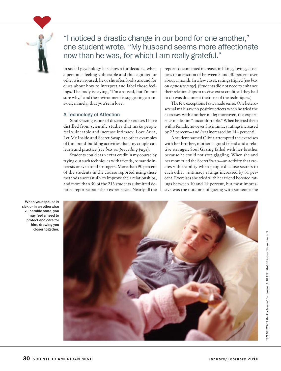

# "I noticed a drastic change in our bond for one another," one student wrote. "My husband seems more affectionate now than he was, for which I am really grateful."

in social psychology has shown for decades, when a person is feeling vulnerable and thus agitated or otherwise aroused, he or she often looks around for clues about how to interpret and label those feelings. The body is saying, "I'm aroused, but I'm not sure why," and the environment is suggesting an answer, namely, that you're in love.

### A Technology of Affection

Soul Gazing is one of dozens of exercises I have distilled from scientific studies that make people feel vulnerable and increase intimacy. Love Aura, Let Me Inside and Secret Swap are other examples of fun, bond-building activities that any couple can learn and practice [*see box on preceding page*].

Students could earn extra credit in my course by trying out such techniques with friends, romantic interests or even total strangers. More than 90 percent of the students in the course reported using these methods successfully to improve their relationships, and more than 50 of the 213 students submitted detailed reports about their experiences. Nearly all the reports documented increases in liking, loving, closeness or attraction of between 3 and 30 percent over about a month. In a few cases, ratings tripled [*see box on opposite page*]. (Students did not need to enhance their relationships to receive extra credit; all they had to do was document their use of the techniques.)

The few exceptions I saw made sense. One heterosexual male saw no positive effects when he tried the exercises with another male; moreover, the experience made him "uncomfortable." When he tried them with a female, however, his intimacy ratings increased by 25 percent—and *hers* increased by 144 percent!

A student named Olivia attempted the exercises with her brother, mother, a good friend and a relative stranger. Soul Gazing failed with her brother because he could not stop giggling. When she and her mom tried the Secret Swap—an activity that creates vulnerability when people disclose secrets to each other—intimacy ratings increased by 31 percent. Exercises she tried with her friend boosted ratings between 10 and 19 percent, but most impressive was the outcome of gazing with someone she



When your spouse is sick or in an otherwise vulnerable state, you may feel a need to protect and care for him, drawing you closer together.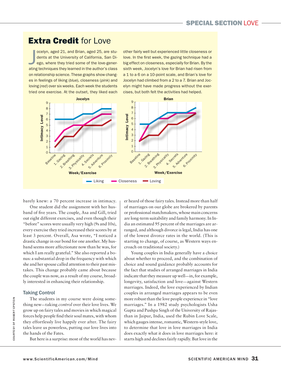# **Extra Credit for Love**

ocelyn, aged 21, and Brian, aged 25, are students at the University of California, San Diego, where they tried some of the love-generating techniques they learned in the author's class ocelyn, aged 21, and Brian, aged 25, are students at the University of California, San Diego, where they tried some of the love-generon relationship science. These graphs show changes in feelings of liking (*blue*), closeness (*pink*) and loving (*red*) over six weeks. Each week the students tried one exercise. At the outset, they liked each

other fairly well but experienced little closeness or love. In the first week, the gazing technique had a big effect on closeness, especially for Brian. By the sixth week, Jocelyn's love for Brian had risen from a 1 to a 6 on a 10-point scale, and Brian's love for Jocelyn had climbed from a 2 to a 7. Brian and Jocelyn might have made progress without the exercises, but both felt the activities had helped.



barely knew: a 70 percent increase in intimacy.

One student did the assignment with her husband of five years. The couple, Asa and Gill, tried out eight different exercises, and even though their "before" scores were usually very high (9s and 10s), every exercise they tried increased their scores by at least 3 percent. Overall, Asa wrote, "I noticed a drastic change in our bond for one another. My husband seems more affectionate now than he was, for which I am really grateful." She also reported a bonus: a substantial drop in the frequency with which she and her spouse called attention to their past mistakes. This change probably came about because the couple was now, as a result of my course, broadly interested in enhancing their relationship.

#### Taking Control

The students in my course were doing something new—taking *control* over their love lives. We grow up on fairy tales and movies in which magical forces help people find their soul mates, with whom they effortlessly live happily ever after. The fairy tales leave us powerless, putting our love lives into the hands of the Fates.

But here is a surprise: most of the world has nev-

er heard of those fairy tales. Instead more than half of marriages on our globe are brokered by parents or professional matchmakers, whose main concerns are long-term suitability and family harmony. In India an estimated 95 percent of the marriages are arranged, and although divorce is legal, India has one of the lowest divorce rates in the world. (This is starting to change, of course, as Western ways encroach on traditional society.)

Young couples in India generally have a choice about whether to proceed, and the combination of choice and sound guidance probably accounts for the fact that studies of arranged marriages in India indicate that they measure up well—in, for example, longevity, satisfaction and love—against Western marriages. Indeed, the love experienced by Indian couples in arranged marriages appears to be even more robust than the love people experience in "love marriages." In a 1982 study psychologists Usha Gupta and Pushpa Singh of the University of Rajasthan in Jaipur, India, used the Rubin Love Scale, which gauges intense, romantic, Western-style love, to determine that love in love marriages in India does exactly what it does in love marriages here: it starts high and declines fairly rapidly. But love in the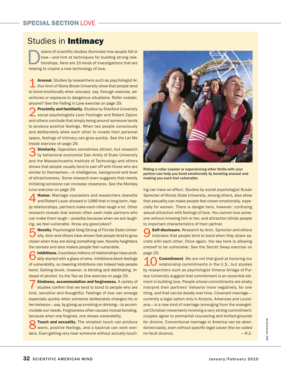# **Studies in Intimacy**

Ozens of scientific studies illuminate how people fall in<br>love—and hint at techniques for building strong rela-<br>tionships. Here are 10 kinds of investigations that are<br>belowed to inspire a new technology of love love—and hint at techniques for building strong relationships. Here are 10 kinds of investigations that are helping to inspire a new technology of love.

1 Arousal. Studies by researchers such as psychologist Ar-thur Aron of Stony Brook University show that people tend to bond emotionally when aroused, say, through exercise, adventures or exposure to dangerous situations. Roller coaster, anyone? See the Falling in Love exercise on page 29.

**2 Proximity and familiarity.** Studies by Stanford University social psychologists Leon Festinger and Robert Zajonc and others conclude that simply being around someone tends to produce positive feelings. When two people consciously and deliberately allow each other to invade their personal space, feelings of intimacy can grow quickly. See the Let Me Inside exercise on page 29.

**3 Similarity.** Opposites sometimes attract, but research by behavioral economist Dan Ariely of Duke University and the Massachusetts Institute of Technology and others shows that people usually tend to pair off with those who are similar to themselves—in intelligence, background and level of attractiveness. Some research even suggests that merely imitating someone can increase closeness. See the Monkey Love exercise on page 29.

4 Humor. Marriage counselors and researchers Jeanette and Robert Lauer showed in 1986 that in long-term, happy relationships, partners make each other laugh a lot. Other research reveals that women often seek male partners who can make them laugh—possibly because when we are laughing, we feel vulnerable. Know any good jokes?

Superly. Psychologist Greg Strong of Florida State University, Aron and others have shown that people tend to grow closer when they are doing something new. Novelty heightens the senses and also makes people feel vulnerable.

6 Inhibitions. Countless millions of relationships have prob-ably started with a glass of wine. Inhibitions block feelings of vulnerability, so lowering inhibitions can indeed help people bond. Getting drunk, however, is blinding and debilitating. Instead of alcohol, try the Two as One exercise on page 29.

7 Kindness, accommodation and forgiveness. A variety of studies confirm that we tend to bond to people who are kind, sensitive and thoughtful. Feelings of love can emerge especially quickly when someone deliberately changes his or her behavior—say, by giving up smoking or drinking—to accommodate our needs. Forgiveness often causes mutual bonding, because when one forgives, one shows vulnerability.

S Touch and sexuality. The simplest touch can produce warm, positive feelings, and a backrub can work wonders. Even getting very near someone without actually touch-



Riding a roller coaster or experiencing other thrills with your partner can help you bond emotionally by boosting arousal and making you each feel vulnerable.

ing can have an effect. Studies by social psychologist Susan Sprecher of Illinois State University, among others, also show that sexuality can make people feel closer emotionally, especially for women. There is danger here, however: confusing sexual attraction with feelings of love. You cannot love someone without knowing him or her, and attraction blinds people to important characteristics of their partner.

**9 Self-disclosure.** Research by Aron, Sprecher and others indicates that people tend to bond when they share secrets with each other. Once again, the key here is allowing oneself to be vulnerable. See the Secret Swap exercise on page 29.

**Commitment**. We are not that good at honoring our relationship commitments in the U.S., but studies by researchers such as psychologist Ximena Arriaga of Purdue University suggest that commitment is an essential element in building love. People whose commitments are shaky interpret their partners' behavior more negatively, for one thing, and that can be deadly over time. Covenant marriage currently a legal option only in Arizona, Arkansas and Louisiana—is a new kind of marriage (emerging from the evangelical Christian movement) involving a very strong commitment: couples agree to premarital counseling and limited grounds for divorce. Conventional marriage in America can be abandoned easily, even without specific legal cause (the so-called no-fault divorce). —*R.E.*